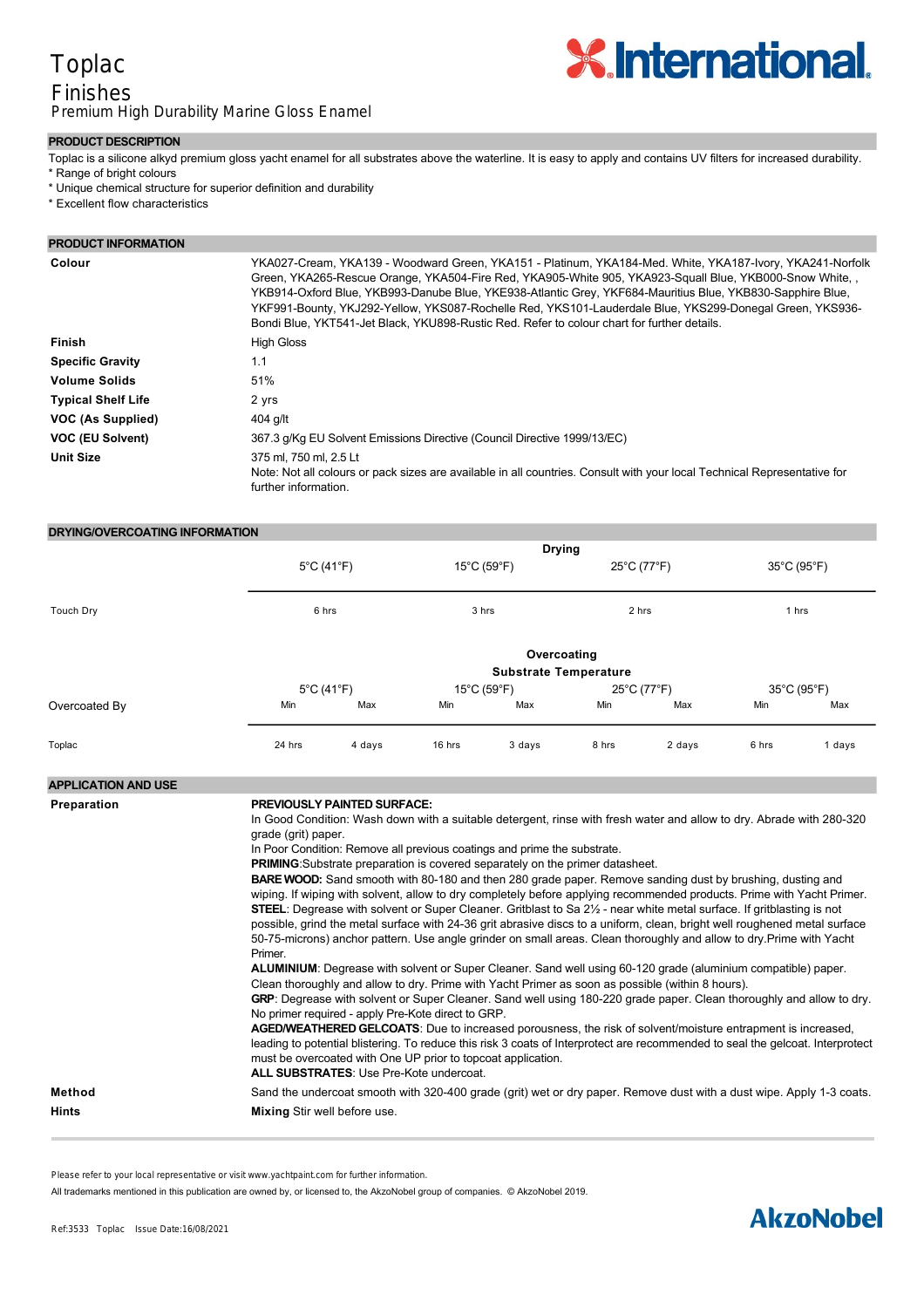### Toplac Finishes Premium High Durability Marine Gloss Enamel



#### **PRODUCT DESCRIPTION**

- Toplac is a silicone alkyd premium gloss yacht enamel for all substrates above the waterline. It is easy to apply and contains UV filters for increased durability.
- \* Range of bright colours
- \* Unique chemical structure for superior definition and durability
- \* Excellent flow characteristics

#### **PRODUCT INFORMATION**

| Colour                    | YKA027-Cream, YKA139 - Woodward Green, YKA151 - Platinum, YKA184-Med. White, YKA187-Ivory, YKA241-Norfolk<br>Green, YKA265-Rescue Orange, YKA504-Fire Red, YKA905-White 905, YKA923-Squall Blue, YKB000-Snow White,<br>YKB914-Oxford Blue, YKB993-Danube Blue, YKE938-Atlantic Grey, YKF684-Mauritius Blue, YKB830-Sapphire Blue,<br>YKF991-Bounty, YKJ292-Yellow, YKS087-Rochelle Red, YKS101-Lauderdale Blue, YKS299-Donegal Green, YKS936-<br>Bondi Blue, YKT541-Jet Black, YKU898-Rustic Red. Refer to colour chart for further details. |
|---------------------------|----------------------------------------------------------------------------------------------------------------------------------------------------------------------------------------------------------------------------------------------------------------------------------------------------------------------------------------------------------------------------------------------------------------------------------------------------------------------------------------------------------------------------------------------|
| <b>Finish</b>             | <b>High Gloss</b>                                                                                                                                                                                                                                                                                                                                                                                                                                                                                                                            |
| <b>Specific Gravity</b>   | 1.1                                                                                                                                                                                                                                                                                                                                                                                                                                                                                                                                          |
| <b>Volume Solids</b>      | 51%                                                                                                                                                                                                                                                                                                                                                                                                                                                                                                                                          |
| <b>Typical Shelf Life</b> | 2 yrs                                                                                                                                                                                                                                                                                                                                                                                                                                                                                                                                        |
| VOC (As Supplied)         | 404 g/lt                                                                                                                                                                                                                                                                                                                                                                                                                                                                                                                                     |
| VOC (EU Solvent)          | 367.3 g/Kg EU Solvent Emissions Directive (Council Directive 1999/13/EC)                                                                                                                                                                                                                                                                                                                                                                                                                                                                     |
| <b>Unit Size</b>          | 375 ml. 750 ml. 2.5 Lt<br>Note: Not all colours or pack sizes are available in all countries. Consult with your local Technical Representative for<br>further information.                                                                                                                                                                                                                                                                                                                                                                   |

### **DRYING/OVERCOATING INFORMATION**

|               | <b>Drying</b>                               |                                 |                                           |        |                      |        |                      |        |  |
|---------------|---------------------------------------------|---------------------------------|-------------------------------------------|--------|----------------------|--------|----------------------|--------|--|
|               | $5^{\circ}$ C (41 $^{\circ}$ F)<br>6 hrs    |                                 | $15^{\circ}$ C (59 $^{\circ}$ F)<br>3 hrs |        | 25°C (77°F)<br>2 hrs |        | 35°C (95°F)<br>1 hrs |        |  |
| Touch Dry     |                                             |                                 |                                           |        |                      |        |                      |        |  |
|               | Overcoating<br><b>Substrate Temperature</b> |                                 |                                           |        |                      |        |                      |        |  |
|               |                                             | $5^{\circ}$ C (41 $^{\circ}$ F) | $15^{\circ}$ C (59 $^{\circ}$ F)          |        | 25°C (77°F)          |        | 35°C (95°F)          |        |  |
| Overcoated By | Min                                         | Max                             | Min                                       | Max    | Min                  | Max    | Min                  | Max    |  |
| Toplac        | 24 hrs                                      | 4 days                          | 16 hrs                                    | 3 days | 8 hrs                | 2 days | 6 hrs                | 1 days |  |

#### **APPLICATION AND USE**

| Preparation            | <b>PREVIOUSLY PAINTED SURFACE:</b><br>In Good Condition: Wash down with a suitable detergent, rinse with fresh water and allow to dry. Abrade with 280-320<br>grade (grit) paper.<br>In Poor Condition: Remove all previous coatings and prime the substrate.<br><b>PRIMING:</b> Substrate preparation is covered separately on the primer datasheet.<br><b>BARE WOOD:</b> Sand smooth with 80-180 and then 280 grade paper. Remove sanding dust by brushing, dusting and<br>wiping. If wiping with solvent, allow to dry completely before applying recommended products. Prime with Yacht Primer.<br><b>STEEL:</b> Degrease with solvent or Super Cleaner. Gritblast to Sa 2 <sup>1/2</sup> - near white metal surface. If gritblasting is not<br>possible, grind the metal surface with 24-36 grit abrasive discs to a uniform, clean, bright well roughened metal surface<br>50-75-microns) anchor pattern. Use angle grinder on small areas. Clean thoroughly and allow to dry. Prime with Yacht<br>Primer.<br>ALUMINIUM: Degrease with solvent or Super Cleaner. Sand well using 60-120 grade (aluminium compatible) paper.<br>Clean thoroughly and allow to dry. Prime with Yacht Primer as soon as possible (within 8 hours).<br>GRP: Degrease with solvent or Super Cleaner. Sand well using 180-220 grade paper. Clean thoroughly and allow to dry.<br>No primer required - apply Pre-Kote direct to GRP.<br>AGED/WEATHERED GELCOATS: Due to increased porousness, the risk of solvent/moisture entrapment is increased,<br>leading to potential blistering. To reduce this risk 3 coats of Interprotect are recommended to seal the gelcoat. Interprotect<br>must be overcoated with One UP prior to topcoat application. |
|------------------------|--------------------------------------------------------------------------------------------------------------------------------------------------------------------------------------------------------------------------------------------------------------------------------------------------------------------------------------------------------------------------------------------------------------------------------------------------------------------------------------------------------------------------------------------------------------------------------------------------------------------------------------------------------------------------------------------------------------------------------------------------------------------------------------------------------------------------------------------------------------------------------------------------------------------------------------------------------------------------------------------------------------------------------------------------------------------------------------------------------------------------------------------------------------------------------------------------------------------------------------------------------------------------------------------------------------------------------------------------------------------------------------------------------------------------------------------------------------------------------------------------------------------------------------------------------------------------------------------------------------------------------------------------------------------------------------------------------------------------------------|
|                        | <b>ALL SUBSTRATES:</b> Use Pre-Kote undercoat.                                                                                                                                                                                                                                                                                                                                                                                                                                                                                                                                                                                                                                                                                                                                                                                                                                                                                                                                                                                                                                                                                                                                                                                                                                                                                                                                                                                                                                                                                                                                                                                                                                                                                       |
| Method<br><b>Hints</b> | Sand the undercoat smooth with 320-400 grade (grit) wet or dry paper. Remove dust with a dust wipe. Apply 1-3 coats.<br><b>Mixing Stir well before use.</b>                                                                                                                                                                                                                                                                                                                                                                                                                                                                                                                                                                                                                                                                                                                                                                                                                                                                                                                                                                                                                                                                                                                                                                                                                                                                                                                                                                                                                                                                                                                                                                          |

**Thinning** Add up to 10% Thinner No 1 to ease the application by brush/roller. The thinner quantity can be adjusted with

Please refer to your local representative or visit www.yachtpaint.com for further information.

**Ventilation and Humidity Control** Apply in dry, well ventilated conditions. All trademarks mentioned in this publication are owned by, or licensed to, the AkzoNobel group of companies. © AkzoNobel 2019.

## **Some Important Points** Toplac may discolour if used at temperatures above 80°C. Not suitable for permanently immersed surfaces.